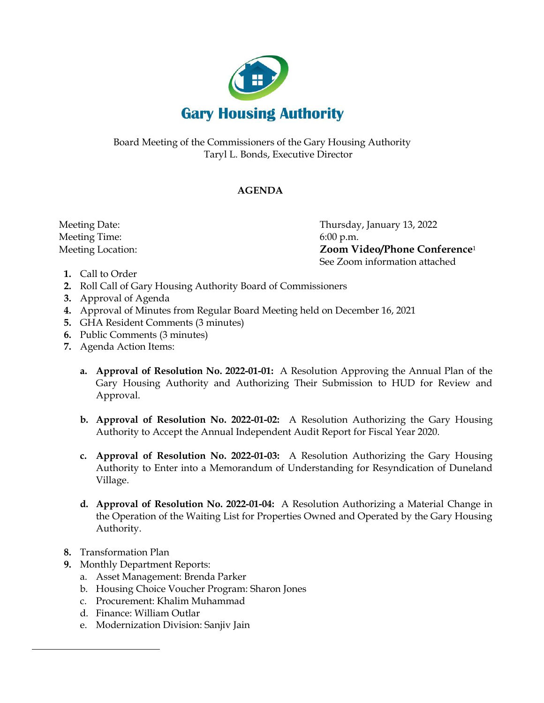

Board Meeting of the Commissioners of the Gary Housing Authority Taryl L. Bonds, Executive Director

## **AGENDA**

Meeting Time: 6:00 p.m.

 Meeting Date: Thursday, January 13, 2022 Meeting Location: **Zoom Video/Phone Conference**<sup>1</sup> See Zoom information attached

- **1.** Call to Order
- **2.** Roll Call of Gary Housing Authority Board of Commissioners
- **3.** Approval of Agenda
- **4.** Approval of Minutes from Regular Board Meeting held on December 16, 2021
- **5.** GHA Resident Comments (3 minutes)
- **6.** Public Comments (3 minutes)
- **7.** Agenda Action Items:
	- **a. Approval of Resolution No. 2022-01-01:** A Resolution Approving the Annual Plan of the Gary Housing Authority and Authorizing Their Submission to HUD for Review and Approval.
	- **b. Approval of Resolution No. 2022-01-02:** A Resolution Authorizing the Gary Housing Authority to Accept the Annual Independent Audit Report for Fiscal Year 2020.
	- **c. Approval of Resolution No. 2022-01-03:** A Resolution Authorizing the Gary Housing Authority to Enter into a Memorandum of Understanding for Resyndication of Duneland Village.
	- **d. Approval of Resolution No. 2022-01-04:** A Resolution Authorizing a Material Change in the Operation of the Waiting List for Properties Owned and Operated by the Gary Housing Authority.
- **8.** Transformation Plan
- **9.** Monthly Department Reports:
	- a. Asset Management: Brenda Parker
	- b. Housing Choice Voucher Program: Sharon Jones
	- c. Procurement: Khalim Muhammad
	- d. Finance: William Outlar
	- e. Modernization Division: Sanjiv Jain